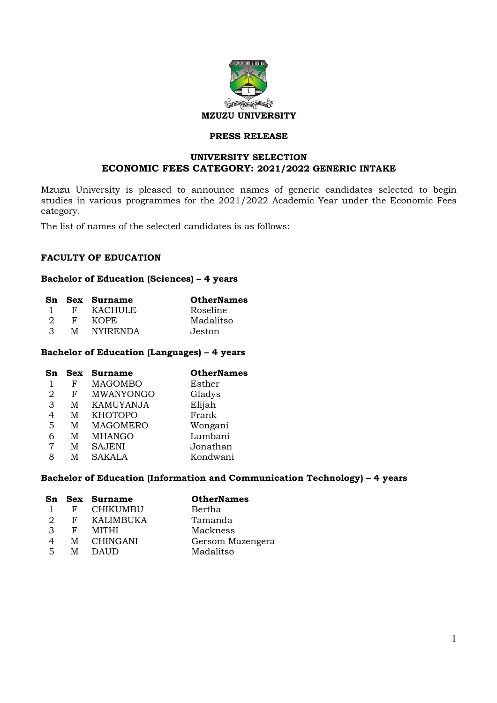

# **PRESS RELEASE**

# **UNIVERSITY SELECTION ECONOMIC FEES CATEGORY: 2021/2022 GENERIC INTAKE**

Mzuzu University is pleased to announce names of generic candidates selected to begin studies in various programmes for the 2021/2022 Academic Year under the Economic Fees category.

The list of names of the selected candidates is as follows:

## **FACULTY OF EDUCATION**

### **Bachelor of Education (Sciences) – 4 years**

|               |    | Sn Sex Surname  | <b>OtherNames</b> |
|---------------|----|-----------------|-------------------|
|               | F  | <b>KACHULE</b>  | Roseline          |
| - 2.          | F. | KOPE.           | Madalitso         |
| $\mathcal{R}$ | M  | <b>NYIRENDA</b> | Jeston            |

## **Bachelor of Education (Languages) – 4 years**

| Sn | <b>Sex</b> | <b>Surname</b>   | <b>OtherNames</b> |
|----|------------|------------------|-------------------|
|    | F          | <b>MAGOMBO</b>   | Esther            |
| 2  | F          | MWANYONGO        | Gladys            |
| 3  | M          | <b>KAMUYANJA</b> | Elijah            |
| 4  | M          | <b>KHOTOPO</b>   | Frank             |
| 5  | M          | <b>MAGOMERO</b>  | Wongani           |
| 6  | M          | <b>MHANGO</b>    | Lumbani           |
| 7  | М          | <b>SAJENI</b>    | Jonathan          |
| 8  | м          | <b>SAKALA</b>    | Kondwani          |

## **Bachelor of Education (Information and Communication Technology) – 4 years**

|     |              | Sn Sex Surname   | <b>OtherNames</b> |
|-----|--------------|------------------|-------------------|
|     | F            | <b>CHIKUMBU</b>  | Bertha            |
| 2   | $\mathbf{F}$ | <b>KALIMBUKA</b> | Tamanda           |
| 3   | F            | MITHI            | Mackness          |
| 4   | М            | CHINGANI         | Gersom Mazengera  |
| .5. | M            | DAUD             | Madalitso         |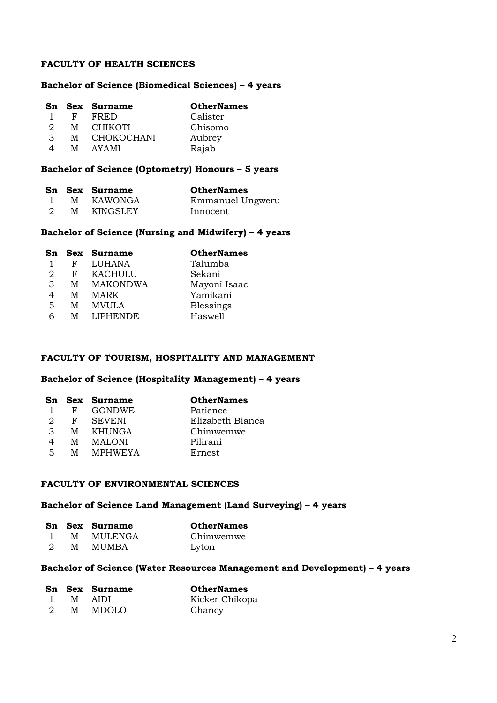# **FACULTY OF HEALTH SCIENCES**

### **Bachelor of Science (Biomedical Sciences) – 4 years**

|                       |              | Sn Sex Surname    | <b>OtherNames</b> |
|-----------------------|--------------|-------------------|-------------------|
|                       | $\mathbf{F}$ | FRED              | Calister          |
| $\mathcal{D}_{\cdot}$ | M            | <b>CHIKOTI</b>    | Chisomo           |
| 3                     | M            | <b>CHOKOCHANI</b> | Aubrey            |
| 4                     | M            | AYAMI             | Rajab             |

# **Bachelor of Science (Optometry) Honours – 5 years**

|   | Sn Sex Surname | <b>OtherNames</b> |
|---|----------------|-------------------|
|   | M KAWONGA      | Emmanuel Ungweru  |
| M | KINGSLEY       | Innocent          |

### **Bachelor of Science (Nursing and Midwifery) – 4 years**

| Sn |   | Sex Surname     | <b>OtherNames</b> |
|----|---|-----------------|-------------------|
|    | F | <b>LUHANA</b>   | Talumba           |
| 2  | F | <b>KACHULU</b>  | Sekani            |
| 3  | М | <b>MAKONDWA</b> | Mayoni Isaac      |
| 4  | М | MARK            | Yamikani          |
| 5  | M | <b>MVULA</b>    | Blessings         |
| 6  | M | <b>LIPHENDE</b> | Haswell           |

## **FACULTY OF TOURISM, HOSPITALITY AND MANAGEMENT**

# **Bachelor of Science (Hospitality Management) – 4 years**

|     |   | Sn Sex Surname | <b>OtherNames</b> |
|-----|---|----------------|-------------------|
|     | F | <b>GONDWE</b>  | Patience          |
| 2   | F | <b>SEVENI</b>  | Elizabeth Bianca  |
| 3   | M | KHUNGA         | Chimwemwe         |
|     | M | MALONI         | Pilirani          |
| .5. | M | <b>MPHWEYA</b> | Ernest            |

# **FACULTY OF ENVIRONMENTAL SCIENCES**

## **Bachelor of Science Land Management (Land Surveying) – 4 years**

|               |   | Sn Sex Surname | <b>OtherNames</b> |
|---------------|---|----------------|-------------------|
|               |   | M MULENGA      | Chimwemwe         |
| $\mathcal{D}$ | M | MUMBA          | Lyton             |

### **Bachelor of Science (Water Resources Management and Development) – 4 years**

|   | Sn Sex Surname | <b>OtherNames</b> |
|---|----------------|-------------------|
|   | M AIDI         | Kicker Chikopa    |
| 2 | M MDOLO        | Chancy            |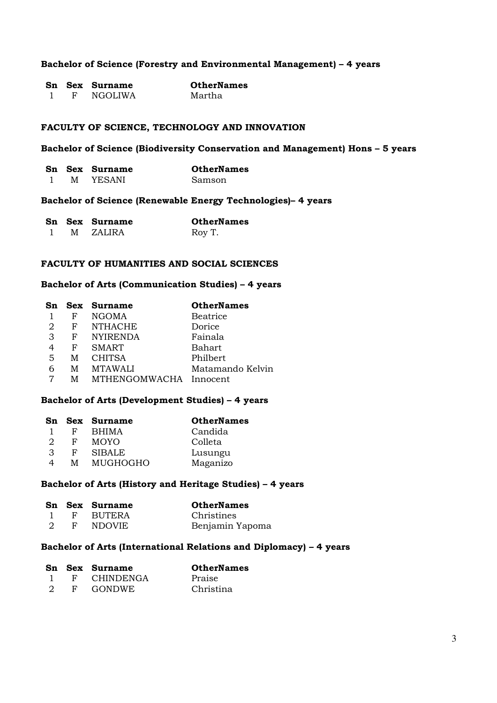### **Bachelor of Science (Forestry and Environmental Management) – 4 years**

|  | Sn Sex Surname | <b>OtherNames</b> |
|--|----------------|-------------------|
|  | NGOLIWA        | Martha            |

#### **FACULTY OF SCIENCE, TECHNOLOGY AND INNOVATION**

## **Bachelor of Science (Biodiversity Conservation and Management) Hons – 5 years**

|   | Sn Sex Surname | <b>OtherNames</b> |
|---|----------------|-------------------|
| м | YESANI         | Samson            |

#### **Bachelor of Science (Renewable Energy Technologies)– 4 years**

|  | Sn Sex Surname | <b>OtherNames</b> |
|--|----------------|-------------------|
|  | M ZALIRA       | Roy T.            |

## **FACULTY OF HUMANITIES AND SOCIAL SCIENCES**

### **Bachelor of Arts (Communication Studies) – 4 years**

| Sn             |              | <b>Sex Surname</b>     | <b>OtherNames</b> |
|----------------|--------------|------------------------|-------------------|
|                | F            | <b>NGOMA</b>           | <b>Beatrice</b>   |
| 2              | $\mathbf{F}$ | <b>NTHACHE</b>         | Dorice            |
| 3              | F            | <b>NYIRENDA</b>        | Fainala           |
|                | F            | <b>SMART</b>           | Bahart            |
| $\overline{5}$ | M            | <b>CHITSA</b>          | Philbert          |
| 6              | М            | <b>MTAWALI</b>         | Matamando Kelvin  |
|                | M            | MTHENGOMWACHA Innocent |                   |

# **Bachelor of Arts (Development Studies) – 4 years**

| Sn |   | Sex Surname   | <b>OtherNames</b> |
|----|---|---------------|-------------------|
|    | F | <b>BHIMA</b>  | Candida           |
| 2  | F | <b>MOYO</b>   | Colleta           |
| З  | F | <b>SIBALE</b> | Lusungu           |
| 4  | м | MUGHOGHO      | Maganizo          |

### **Bachelor of Arts (History and Heritage Studies) – 4 years**

|   |              | Sn Sex Surname | <b>OtherNames</b> |
|---|--------------|----------------|-------------------|
|   |              | F BUTERA       | Christines        |
| 2 | $\mathbf{F}$ | NDOVIE         | Benjamin Yapoma   |

### **Bachelor of Arts (International Relations and Diplomacy) – 4 years**

|               |              | Sn Sex Surname | <b>OtherNames</b> |
|---------------|--------------|----------------|-------------------|
|               |              | F CHINDENGA    | Praise            |
| $\mathcal{D}$ | $\mathbf{F}$ | GONDWE.        | Christina         |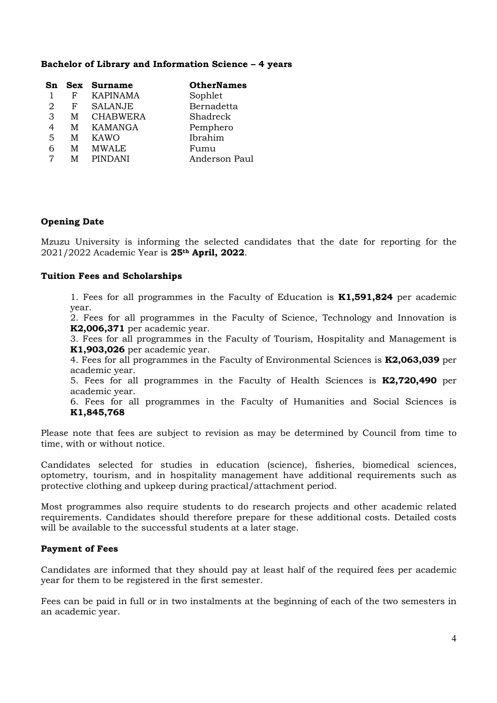## **Bachelor of Library and Information Science – 4 years**

| Sn |              | <b>Sex Surname</b> | <b>OtherNames</b> |
|----|--------------|--------------------|-------------------|
|    | F            | <b>KAPINAMA</b>    | Sophlet           |
| 2  | $\mathbf{F}$ | <b>SALANJE</b>     | Bernadetta        |
| 3  | M            | <b>CHABWERA</b>    | Shadreck          |
| 4  | M            | KAMANGA            | Pemphero          |
| 5  | M            | KAWO               | Ibrahim           |
| 6  | M            | <b>MWALE</b>       | Fumu              |
|    | м            | <b>PINDANI</b>     | Anderson Paul     |

# **Opening Date**

Mzuzu University is informing the selected candidates that the date for reporting for the 2021/2022 Academic Year is **25th April, 2022**.

## **Tuition Fees and Scholarships**

1. Fees for all programmes in the Faculty of Education is **K1,591,824** per academic year.

2. Fees for all programmes in the Faculty of Science, Technology and Innovation is **K2,006,371** per academic year.

3. Fees for all programmes in the Faculty of Tourism, Hospitality and Management is **K1,903,026** per academic year.

4. Fees for all programmes in the Faculty of Environmental Sciences is **K2,063,039** per academic year.

5. Fees for all programmes in the Faculty of Health Sciences is **K2,720,490** per academic year.

6. Fees for all programmes in the Faculty of Humanities and Social Sciences is **K1,845,768**

Please note that fees are subject to revision as may be determined by Council from time to time, with or without notice.

Candidates selected for studies in education (science), fisheries, biomedical sciences, optometry, tourism, and in hospitality management have additional requirements such as protective clothing and upkeep during practical/attachment period.

Most programmes also require students to do research projects and other academic related requirements. Candidates should therefore prepare for these additional costs. Detailed costs will be available to the successful students at a later stage.

## **Payment of Fees**

Candidates are informed that they should pay at least half of the required fees per academic year for them to be registered in the first semester.

Fees can be paid in full or in two instalments at the beginning of each of the two semesters in an academic year.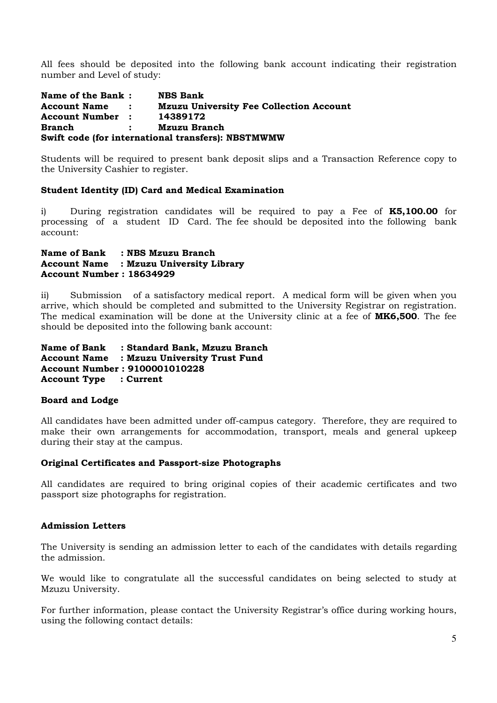All fees should be deposited into the following bank account indicating their registration number and Level of study:

**Name of the Bank : NBS Bank<br>
Account Name : Mzuzu Uni Mzuzu University Fee Collection Account Account Number : 14389172 Branch : Mzuzu Branch Swift code (for international transfers): NBSTMWMW** 

Students will be required to present bank deposit slips and a Transaction Reference copy to the University Cashier to register.

# **Student Identity (ID) Card and Medical Examination**

i) During registration candidates will be required to pay a Fee of **K5,100.00** for processing of a student ID Card. The fee should be deposited into the following bank account:

## **Name of Bank : NBS Mzuzu Branch Account Name : Mzuzu University Library Account Number : 18634929**

ii) Submission of a satisfactory medical report. A medical form will be given when you arrive, which should be completed and submitted to the University Registrar on registration. The medical examination will be done at the University clinic at a fee of **MK6,500**. The fee should be deposited into the following bank account:

**Name of Bank : Standard Bank, Mzuzu Branch Account Name : Mzuzu University Trust Fund Account Number : 9100001010228 Account Type : Current** 

## **Board and Lodge**

All candidates have been admitted under off-campus category. Therefore, they are required to make their own arrangements for accommodation, transport, meals and general upkeep during their stay at the campus.

## **Original Certificates and Passport-size Photographs**

All candidates are required to bring original copies of their academic certificates and two passport size photographs for registration.

## **Admission Letters**

The University is sending an admission letter to each of the candidates with details regarding the admission.

We would like to congratulate all the successful candidates on being selected to study at Mzuzu University.

For further information, please contact the University Registrar's office during working hours, using the following contact details: